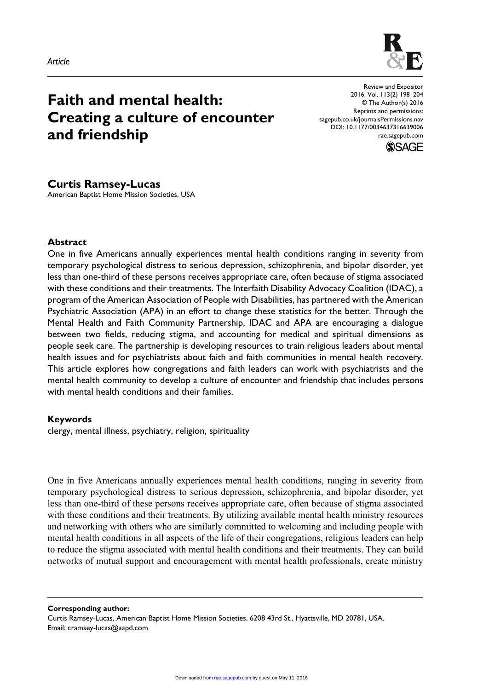

# **Faith and mental health: Creating a culture of encounter and friendship**

Review and Expositor 2016, Vol. 113(2) 198–204 © The Author(s) 2016 Reprints and permissions: sagepub.co.uk/journalsPermissions.nav DOI: 10.1177/0034637316639006 rae.sagepub.com



## **Curtis Ramsey-Lucas**

American Baptist Home Mission Societies, USA

#### **Abstract**

One in five Americans annually experiences mental health conditions ranging in severity from temporary psychological distress to serious depression, schizophrenia, and bipolar disorder, yet less than one-third of these persons receives appropriate care, often because of stigma associated with these conditions and their treatments. The Interfaith Disability Advocacy Coalition (IDAC), a program of the American Association of People with Disabilities, has partnered with the American Psychiatric Association (APA) in an effort to change these statistics for the better. Through the Mental Health and Faith Community Partnership, IDAC and APA are encouraging a dialogue between two fields, reducing stigma, and accounting for medical and spiritual dimensions as people seek care. The partnership is developing resources to train religious leaders about mental health issues and for psychiatrists about faith and faith communities in mental health recovery. This article explores how congregations and faith leaders can work with psychiatrists and the mental health community to develop a culture of encounter and friendship that includes persons with mental health conditions and their families.

#### **Keywords**

clergy, mental illness, psychiatry, religion, spirituality

One in five Americans annually experiences mental health conditions, ranging in severity from temporary psychological distress to serious depression, schizophrenia, and bipolar disorder, yet less than one-third of these persons receives appropriate care, often because of stigma associated with these conditions and their treatments. By utilizing available mental health ministry resources and networking with others who are similarly committed to welcoming and including people with mental health conditions in all aspects of the life of their congregations, religious leaders can help to reduce the stigma associated with mental health conditions and their treatments. They can build networks of mutual support and encouragement with mental health professionals, create ministry

**Corresponding author:**

Curtis Ramsey-Lucas, American Baptist Home Mission Societies, 6208 43rd St., Hyattsville, MD 20781, USA. Email: [cramsey-lucas@aapd.com](mailto:cramsey-lucas@aapd.com)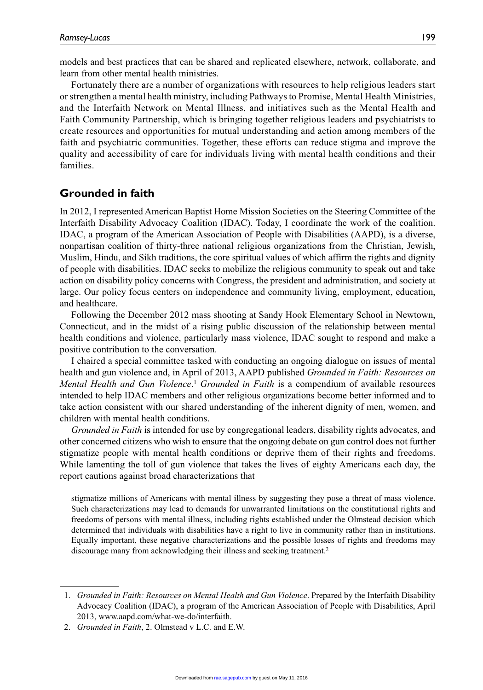models and best practices that can be shared and replicated elsewhere, network, collaborate, and learn from other mental health ministries.

Fortunately there are a number of organizations with resources to help religious leaders start or strengthen a mental health ministry, including Pathways to Promise, Mental Health Ministries, and the Interfaith Network on Mental Illness, and initiatives such as the Mental Health and Faith Community Partnership, which is bringing together religious leaders and psychiatrists to create resources and opportunities for mutual understanding and action among members of the faith and psychiatric communities. Together, these efforts can reduce stigma and improve the quality and accessibility of care for individuals living with mental health conditions and their families.

#### **Grounded in faith**

In 2012, I represented American Baptist Home Mission Societies on the Steering Committee of the Interfaith Disability Advocacy Coalition (IDAC). Today, I coordinate the work of the coalition. IDAC, a program of the American Association of People with Disabilities (AAPD), is a diverse, nonpartisan coalition of thirty-three national religious organizations from the Christian, Jewish, Muslim, Hindu, and Sikh traditions, the core spiritual values of which affirm the rights and dignity of people with disabilities. IDAC seeks to mobilize the religious community to speak out and take action on disability policy concerns with Congress, the president and administration, and society at large. Our policy focus centers on independence and community living, employment, education, and healthcare.

Following the December 2012 mass shooting at Sandy Hook Elementary School in Newtown, Connecticut, and in the midst of a rising public discussion of the relationship between mental health conditions and violence, particularly mass violence, IDAC sought to respond and make a positive contribution to the conversation.

I chaired a special committee tasked with conducting an ongoing dialogue on issues of mental health and gun violence and, in April of 2013, AAPD published *Grounded in Faith: Resources on Mental Health and Gun Violence*. <sup>1</sup> *Grounded in Faith* is a compendium of available resources intended to help IDAC members and other religious organizations become better informed and to take action consistent with our shared understanding of the inherent dignity of men, women, and children with mental health conditions.

*Grounded in Faith* is intended for use by congregational leaders, disability rights advocates, and other concerned citizens who wish to ensure that the ongoing debate on gun control does not further stigmatize people with mental health conditions or deprive them of their rights and freedoms. While lamenting the toll of gun violence that takes the lives of eighty Americans each day, the report cautions against broad characterizations that

stigmatize millions of Americans with mental illness by suggesting they pose a threat of mass violence. Such characterizations may lead to demands for unwarranted limitations on the constitutional rights and freedoms of persons with mental illness, including rights established under the Olmstead decision which determined that individuals with disabilities have a right to live in community rather than in institutions. Equally important, these negative characterizations and the possible losses of rights and freedoms may discourage many from acknowledging their illness and seeking treatment.2

<sup>1.</sup> *Grounded in Faith: Resources on Mental Health and Gun Violence*. Prepared by the Interfaith Disability Advocacy Coalition (IDAC), a program of the American Association of People with Disabilities, April 2013, [www.aapd.com/what-we-do/interfaith.](www.aapd.com/what-we-do/interfaith)

<sup>2.</sup> *Grounded in Faith*, 2. Olmstead v L.C. and E.W.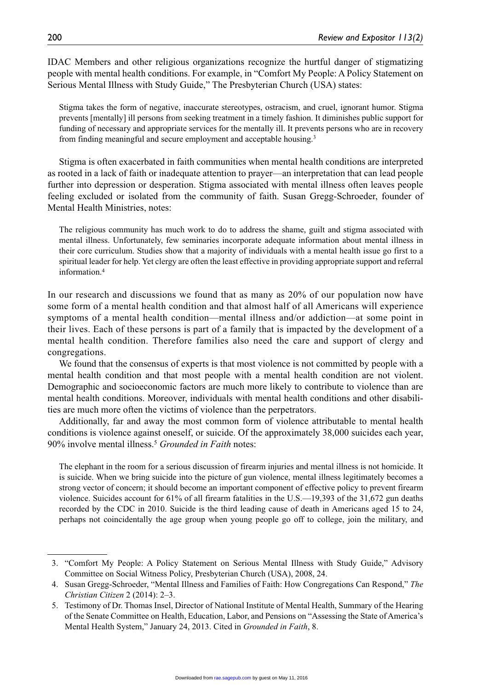IDAC Members and other religious organizations recognize the hurtful danger of stigmatizing people with mental health conditions. For example, in "Comfort My People: A Policy Statement on Serious Mental Illness with Study Guide," The Presbyterian Church (USA) states:

Stigma takes the form of negative, inaccurate stereotypes, ostracism, and cruel, ignorant humor. Stigma prevents [mentally] ill persons from seeking treatment in a timely fashion. It diminishes public support for funding of necessary and appropriate services for the mentally ill. It prevents persons who are in recovery from finding meaningful and secure employment and acceptable housing.3

Stigma is often exacerbated in faith communities when mental health conditions are interpreted as rooted in a lack of faith or inadequate attention to prayer—an interpretation that can lead people further into depression or desperation. Stigma associated with mental illness often leaves people feeling excluded or isolated from the community of faith. Susan Gregg-Schroeder, founder of Mental Health Ministries, notes:

The religious community has much work to do to address the shame, guilt and stigma associated with mental illness. Unfortunately, few seminaries incorporate adequate information about mental illness in their core curriculum. Studies show that a majority of individuals with a mental health issue go first to a spiritual leader for help. Yet clergy are often the least effective in providing appropriate support and referral information.4

In our research and discussions we found that as many as 20% of our population now have some form of a mental health condition and that almost half of all Americans will experience symptoms of a mental health condition—mental illness and/or addiction—at some point in their lives. Each of these persons is part of a family that is impacted by the development of a mental health condition. Therefore families also need the care and support of clergy and congregations.

We found that the consensus of experts is that most violence is not committed by people with a mental health condition and that most people with a mental health condition are not violent. Demographic and socioeconomic factors are much more likely to contribute to violence than are mental health conditions. Moreover, individuals with mental health conditions and other disabilities are much more often the victims of violence than the perpetrators.

Additionally, far and away the most common form of violence attributable to mental health conditions is violence against oneself, or suicide. Of the approximately 38,000 suicides each year, 90% involve mental illness.5 *Grounded in Faith* notes:

The elephant in the room for a serious discussion of firearm injuries and mental illness is not homicide. It is suicide. When we bring suicide into the picture of gun violence, mental illness legitimately becomes a strong vector of concern; it should become an important component of effective policy to prevent firearm violence. Suicides account for 61% of all firearm fatalities in the U.S.—19,393 of the 31,672 gun deaths recorded by the CDC in 2010. Suicide is the third leading cause of death in Americans aged 15 to 24, perhaps not coincidentally the age group when young people go off to college, join the military, and

<sup>3.</sup> "Comfort My People: A Policy Statement on Serious Mental Illness with Study Guide," Advisory Committee on Social Witness Policy, Presbyterian Church (USA), 2008, 24.

<sup>4.</sup> Susan Gregg-Schroeder, "Mental Illness and Families of Faith: How Congregations Can Respond," *The Christian Citizen* 2 (2014): 2–3.

<sup>5.</sup> Testimony of Dr. Thomas Insel, Director of National Institute of Mental Health, Summary of the Hearing of the Senate Committee on Health, Education, Labor, and Pensions on "Assessing the State of America's Mental Health System," January 24, 2013. Cited in *Grounded in Faith*, 8.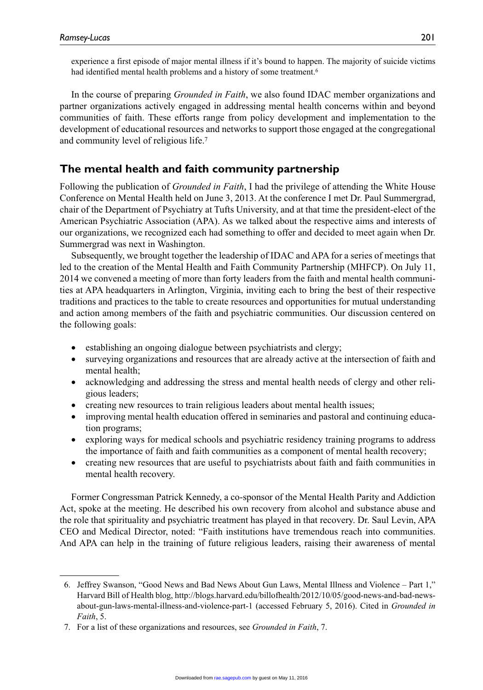experience a first episode of major mental illness if it's bound to happen. The majority of suicide victims had identified mental health problems and a history of some treatment.<sup>6</sup>

In the course of preparing *Grounded in Faith*, we also found IDAC member organizations and partner organizations actively engaged in addressing mental health concerns within and beyond communities of faith. These efforts range from policy development and implementation to the development of educational resources and networks to support those engaged at the congregational and community level of religious life.7

## **The mental health and faith community partnership**

Following the publication of *Grounded in Faith*, I had the privilege of attending the White House Conference on Mental Health held on June 3, 2013. At the conference I met Dr. Paul Summergrad, chair of the Department of Psychiatry at Tufts University, and at that time the president-elect of the American Psychiatric Association (APA). As we talked about the respective aims and interests of our organizations, we recognized each had something to offer and decided to meet again when Dr. Summergrad was next in Washington.

Subsequently, we brought together the leadership of IDAC and APA for a series of meetings that led to the creation of the Mental Health and Faith Community Partnership (MHFCP). On July 11, 2014 we convened a meeting of more than forty leaders from the faith and mental health communities at APA headquarters in Arlington, Virginia, inviting each to bring the best of their respective traditions and practices to the table to create resources and opportunities for mutual understanding and action among members of the faith and psychiatric communities. Our discussion centered on the following goals:

- establishing an ongoing dialogue between psychiatrists and clergy;
- surveying organizations and resources that are already active at the intersection of faith and mental health;
- acknowledging and addressing the stress and mental health needs of clergy and other religious leaders;
- creating new resources to train religious leaders about mental health issues;
- improving mental health education offered in seminaries and pastoral and continuing education programs;
- exploring ways for medical schools and psychiatric residency training programs to address the importance of faith and faith communities as a component of mental health recovery;
- creating new resources that are useful to psychiatrists about faith and faith communities in mental health recovery.

Former Congressman Patrick Kennedy, a co-sponsor of the Mental Health Parity and Addiction Act, spoke at the meeting. He described his own recovery from alcohol and substance abuse and the role that spirituality and psychiatric treatment has played in that recovery. Dr. Saul Levin, APA CEO and Medical Director, noted: "Faith institutions have tremendous reach into communities. And APA can help in the training of future religious leaders, raising their awareness of mental

<sup>6.</sup> Jeffrey Swanson, "Good News and Bad News About Gun Laws, Mental Illness and Violence – Part 1," Harvard Bill of Health blog, [http://blogs.harvard.edu/billofhealth/2012/10/05/good-news-and-bad-news](http://blogs.harvard.edu/billofhealth/2012/10/05/good-news-and-bad-news-about-gun-laws-mental-illness-and-violence-part-1)[about-gun-laws-mental-illness-and-violence-part-1](http://blogs.harvard.edu/billofhealth/2012/10/05/good-news-and-bad-news-about-gun-laws-mental-illness-and-violence-part-1) (accessed February 5, 2016). Cited in *Grounded in Faith*, 5.

<sup>7.</sup> For a list of these organizations and resources, see *Grounded in Faith*, 7.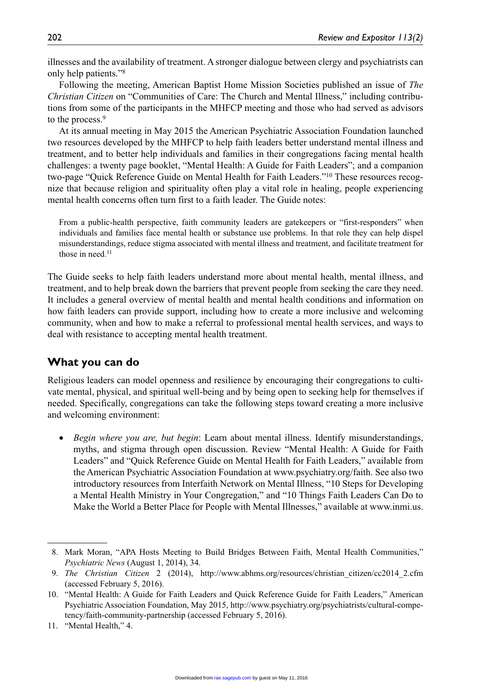illnesses and the availability of treatment. A stronger dialogue between clergy and psychiatrists can only help patients."8

Following the meeting, American Baptist Home Mission Societies published an issue of *The Christian Citizen* on "Communities of Care: The Church and Mental Illness," including contributions from some of the participants in the MHFCP meeting and those who had served as advisors to the process.9

At its annual meeting in May 2015 the American Psychiatric Association Foundation launched two resources developed by the MHFCP to help faith leaders better understand mental illness and treatment, and to better help individuals and families in their congregations facing mental health challenges: a twenty page booklet, "Mental Health: A Guide for Faith Leaders"; and a companion two-page "Quick Reference Guide on Mental Health for Faith Leaders."10 These resources recognize that because religion and spirituality often play a vital role in healing, people experiencing mental health concerns often turn first to a faith leader. The Guide notes:

From a public-health perspective, faith community leaders are gatekeepers or "first-responders" when individuals and families face mental health or substance use problems. In that role they can help dispel misunderstandings, reduce stigma associated with mental illness and treatment, and facilitate treatment for those in need.<sup>11</sup>

The Guide seeks to help faith leaders understand more about mental health, mental illness, and treatment, and to help break down the barriers that prevent people from seeking the care they need. It includes a general overview of mental health and mental health conditions and information on how faith leaders can provide support, including how to create a more inclusive and welcoming community, when and how to make a referral to professional mental health services, and ways to deal with resistance to accepting mental health treatment.

## **What you can do**

Religious leaders can model openness and resilience by encouraging their congregations to cultivate mental, physical, and spiritual well-being and by being open to seeking help for themselves if needed. Specifically, congregations can take the following steps toward creating a more inclusive and welcoming environment:

•• *Begin where you are, but begin*: Learn about mental illness. Identify misunderstandings, myths, and stigma through open discussion. Review "Mental Health: A Guide for Faith Leaders" and "Quick Reference Guide on Mental Health for Faith Leaders," available from the American Psychiatric Association Foundation at [www.psychiatry.org/faith.](www.psychiatry.org/faith) See also two introductory resources from Interfaith Network on Mental Illness, "10 Steps for Developing a Mental Health Ministry in Your Congregation," and "10 Things Faith Leaders Can Do to Make the World a Better Place for People with Mental Illnesses," available at<www.inmi.us>.

<sup>8.</sup> Mark Moran, "APA Hosts Meeting to Build Bridges Between Faith, Mental Health Communities," *Psychiatric News* (August 1, 2014), 34.

<sup>9.</sup> *The Christian Citizen* 2 (2014), [http://www.abhms.org/resources/christian\\_citizen/cc2014\\_2.cfm](http://www.abhms.org/resources/christian_citizen/cc2014_2.cfm)  (accessed February 5, 2016).

<sup>10.</sup> "Mental Health: A Guide for Faith Leaders and Quick Reference Guide for Faith Leaders," American Psychiatric Association Foundation, May 2015, [http://www.psychiatry.org/psychiatrists/cultural-compe](http://www.psychiatry.org/psychiatrists/cultural-competency/faith-community-partnership)[tency/faith-community-partnership](http://www.psychiatry.org/psychiatrists/cultural-competency/faith-community-partnership) (accessed February 5, 2016).

<sup>11.</sup> "Mental Health," 4.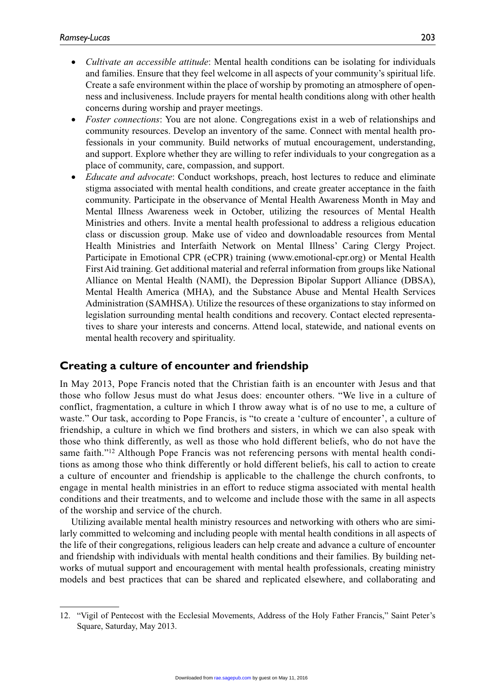- •• *Cultivate an accessible attitude*: Mental health conditions can be isolating for individuals and families. Ensure that they feel welcome in all aspects of your community's spiritual life. Create a safe environment within the place of worship by promoting an atmosphere of openness and inclusiveness. Include prayers for mental health conditions along with other health concerns during worship and prayer meetings.
- *Foster connections*: You are not alone. Congregations exist in a web of relationships and community resources. Develop an inventory of the same. Connect with mental health professionals in your community. Build networks of mutual encouragement, understanding, and support. Explore whether they are willing to refer individuals to your congregation as a place of community, care, compassion, and support.
- •• *Educate and advocate*: Conduct workshops, preach, host lectures to reduce and eliminate stigma associated with mental health conditions, and create greater acceptance in the faith community. Participate in the observance of Mental Health Awareness Month in May and Mental Illness Awareness week in October, utilizing the resources of Mental Health Ministries and others. Invite a mental health professional to address a religious education class or discussion group. Make use of video and downloadable resources from Mental Health Ministries and Interfaith Network on Mental Illness' Caring Clergy Project. Participate in Emotional CPR (eCPR) training (<www.emotional-cpr.org>) or Mental Health First Aid training. Get additional material and referral information from groups like National Alliance on Mental Health (NAMI), the Depression Bipolar Support Alliance (DBSA), Mental Health America (MHA), and the Substance Abuse and Mental Health Services Administration (SAMHSA). Utilize the resources of these organizations to stay informed on legislation surrounding mental health conditions and recovery. Contact elected representatives to share your interests and concerns. Attend local, statewide, and national events on mental health recovery and spirituality.

## **Creating a culture of encounter and friendship**

In May 2013, Pope Francis noted that the Christian faith is an encounter with Jesus and that those who follow Jesus must do what Jesus does: encounter others. "We live in a culture of conflict, fragmentation, a culture in which I throw away what is of no use to me, a culture of waste." Our task, according to Pope Francis, is "to create a 'culture of encounter', a culture of friendship, a culture in which we find brothers and sisters, in which we can also speak with those who think differently, as well as those who hold different beliefs, who do not have the same faith."<sup>12</sup> Although Pope Francis was not referencing persons with mental health conditions as among those who think differently or hold different beliefs, his call to action to create a culture of encounter and friendship is applicable to the challenge the church confronts, to engage in mental health ministries in an effort to reduce stigma associated with mental health conditions and their treatments, and to welcome and include those with the same in all aspects of the worship and service of the church.

Utilizing available mental health ministry resources and networking with others who are similarly committed to welcoming and including people with mental health conditions in all aspects of the life of their congregations, religious leaders can help create and advance a culture of encounter and friendship with individuals with mental health conditions and their families. By building networks of mutual support and encouragement with mental health professionals, creating ministry models and best practices that can be shared and replicated elsewhere, and collaborating and

<sup>12.</sup> "Vigil of Pentecost with the Ecclesial Movements, Address of the Holy Father Francis," Saint Peter's Square, Saturday, May 2013.